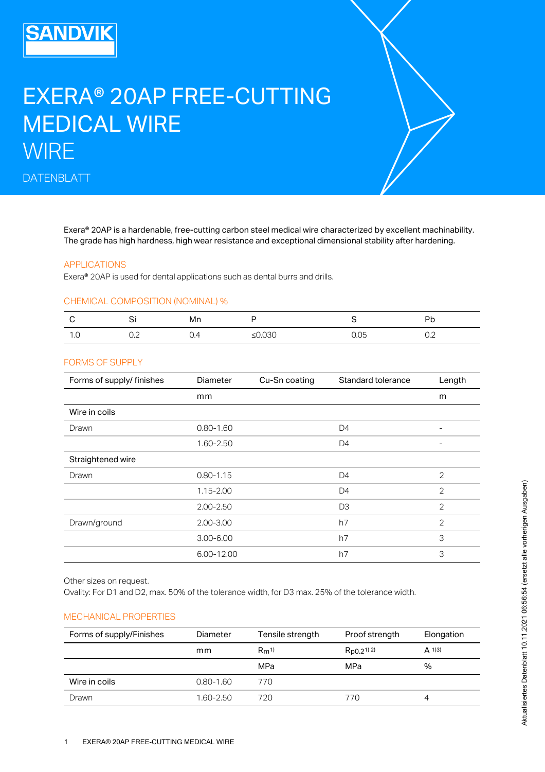# **SANDVIK**

# EXERA® 20AP FREE-CUTTING MEDICAL WIRE **WIRE**

DATENBLATT

Exera® 20AP is a hardenable, free-cutting carbon steel medical wire characterized by excellent machinability. The grade has high hardness, high wear resistance and exceptional dimensional stability after hardening.

#### APPLICATIONS

Exera® 20AP is used for dental applications such as dental burrs and drills.

#### CHEMICAL COMPOSITION (NOMINAL) %

|     | ັ                     | Mn         |           |      | Dμ     |
|-----|-----------------------|------------|-----------|------|--------|
| ں ، | $\cup$ . $\leftarrow$ | <b>.</b> . | ≤ $0.030$ | 0.05 | $\cup$ |

#### FORMS OF SUPPLY

| Forms of supply/ finishes                                                                                                                                   | Diameter      | Cu-Sn coating    | Standard tolerance | Length         |
|-------------------------------------------------------------------------------------------------------------------------------------------------------------|---------------|------------------|--------------------|----------------|
|                                                                                                                                                             | mm            |                  |                    | m              |
| Wire in coils                                                                                                                                               |               |                  |                    |                |
| Drawn                                                                                                                                                       | $0.80 - 1.60$ |                  | D <sub>4</sub>     |                |
|                                                                                                                                                             | 1.60-2.50     |                  | D <sub>4</sub>     |                |
| Straightened wire                                                                                                                                           |               |                  |                    |                |
| Drawn                                                                                                                                                       | $0.80 - 1.15$ |                  | D <sub>4</sub>     | $\overline{2}$ |
|                                                                                                                                                             | $1.15 - 2.00$ |                  | D <sub>4</sub>     | $\overline{2}$ |
|                                                                                                                                                             | $2.00 - 2.50$ |                  | D <sub>3</sub>     | 2              |
| Drawn/ground                                                                                                                                                | $2.00 - 3.00$ |                  | h7                 | $\overline{2}$ |
|                                                                                                                                                             | $3.00 - 6.00$ |                  | h7                 | 3              |
|                                                                                                                                                             | 6.00-12.00    |                  |                    | 3              |
|                                                                                                                                                             |               |                  | h7                 |                |
| Other sizes on request.<br>Ovality: For D1 and D2, max. 50% of the tolerance width, for D3 max. 25% of the tolerance width.<br><b>MECHANICAL PROPERTIES</b> |               |                  |                    |                |
| Forms of supply/Finishes                                                                                                                                    | Diameter      | Tensile strength | Proof strength     | Elongation     |
|                                                                                                                                                             | mm            | $Rm^{1}$         | $R_{p0.2^{1}}$ 2)  | $A$ 1)3)       |
|                                                                                                                                                             |               | MPa              | MPa                | $\%$           |
| Wire in coils                                                                                                                                               | $0.80 - 1.60$ | 770              |                    |                |

# MECHANICAL PROPERTIES

| Forms of supply/Finishes | Diameter      | Tensile strength | Proof strength       | Elongation |
|--------------------------|---------------|------------------|----------------------|------------|
|                          | mm            | $Rm^{1}$         | $R_{DQ,2^{1}}^{(2)}$ | $A$ 1)3)   |
|                          |               | MPa              | MPa                  | %          |
| Wire in coils            | $0.80 - 1.60$ | 770              |                      |            |
| Drawn                    | 1.60-2.50     | 720              | 770                  | 4          |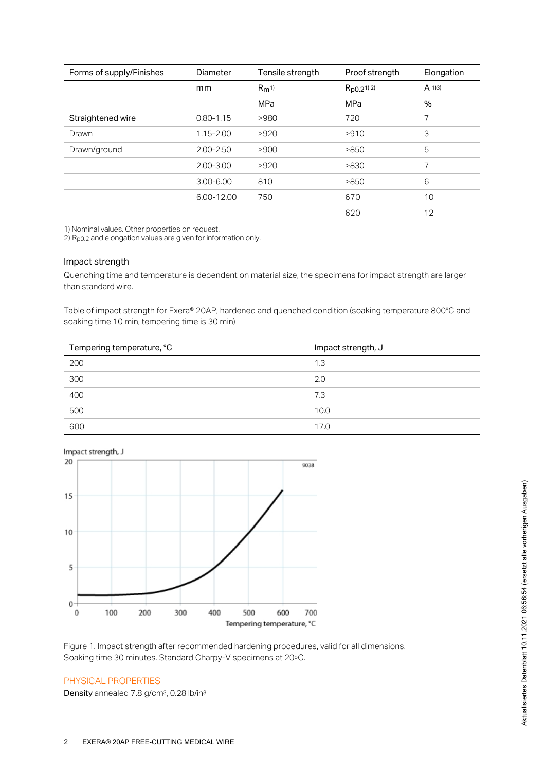| Forms of supply/Finishes | Diameter      | Tensile strength | Proof strength       | Elongation |
|--------------------------|---------------|------------------|----------------------|------------|
|                          | mm            | $Rm^{1}$         | $R_{DQ,2^{1}}^{(2)}$ | $A$ 1)3)   |
|                          |               | MPa              | <b>MPa</b>           | %          |
| Straightened wire        | $0.80 - 1.15$ | >980             | 720                  | 7          |
| Drawn                    | $1.15 - 2.00$ | >920             | >910                 | 3          |
| Drawn/ground             | $2.00 - 2.50$ | >900             | >850                 | 5          |
|                          | $2.00 - 3.00$ | >920             | >830                 | 7          |
|                          | $3.00 - 6.00$ | 810              | >850                 | 6          |
|                          | 6.00-12.00    | 750              | 670                  | 10         |
|                          |               |                  | 620                  | 12         |

1) Nominal values. Other properties on request.

2)  $R<sub>p0.2</sub>$  and elongation values are given for information only.

#### Impact strength

Quenching time and temperature is dependent on material size, the specimens for impact strength are larger than standard wire.

Table of impact strength for Exera® 20AP, hardened and quenched condition (soaking temperature 800°C and soaking time 10 min, tempering time is 30 min)

| Tempering temperature, °C | Impact strength, J |
|---------------------------|--------------------|
| 200                       | 1.3                |
| 300                       | 2.0                |
| 400                       | 7.3                |
| 500                       | 10.0               |
| 600                       | 17.0               |



Impact strength, J

Figure 1. Impact strength after recommended hardening procedures, valid for all dimensions. Soaking time 30 minutes. Standard Charpy-V specimens at 20°C.

#### PHYSICAL PROPERTIES

Density annealed 7.8 g/cm<sup>3</sup>, 0.28 lb/in<sup>3</sup>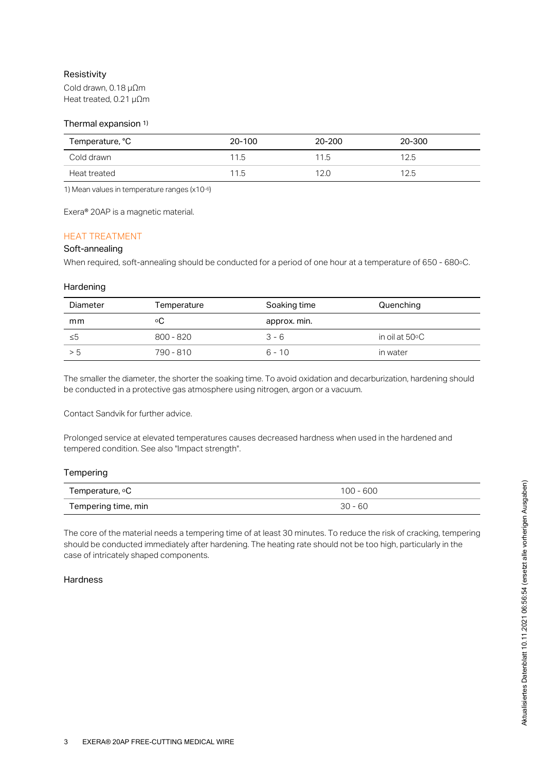# Resistivity

Cold drawn, 0.18 µΩm Heat treated, 0.21 µΩm

#### Thermal expansion 1)

| Temperature, °C | 20-100 | 20-200 | 20-300 |
|-----------------|--------|--------|--------|
| Cold drawn      | 11.5   | 11.5   | 12.5   |
| Heat treated    | 11.5   | 12.0   | 12.5   |

1) Mean values in temperature ranges (x10-6)

Exera® 20AP is a magnetic material.

# HEAT TREATMENT

## Soft-annealing

When required, soft-annealing should be conducted for a period of one hour at a temperature of 650 - 680°C.

#### **Hardening**

| Diameter | Temperature | Soaking time | Quenching                |
|----------|-------------|--------------|--------------------------|
| mm       | ٥C          | approx. min. |                          |
| ≤5       | $800 - 820$ | $3 - 6$      | in oil at $50^{\circ}$ C |
| > 5      | 790 - 810   | 6 - 10       | in water                 |

The smaller the diameter, the shorter the soaking time. To avoid oxidation and decarburization, hardening should be conducted in a protective gas atmosphere using nitrogen, argon or a vacuum.

Contact Sandvik for further advice.

Prolonged service at elevated temperatures causes decreased hardness when used in the hardened and tempered condition. See also "Impact strength".

#### **Tempering**

| Temperature, ∘C     | $100 - 600$ |
|---------------------|-------------|
| Tempering time, min | $30 - 60$   |

The core of the material needs a tempering time of at least 30 minutes. To reduce the risk of cracking, tempering should be conducted immediately after hardening. The heating rate should not be too high, particularly in the case of intricately shaped components.

#### **Hardness**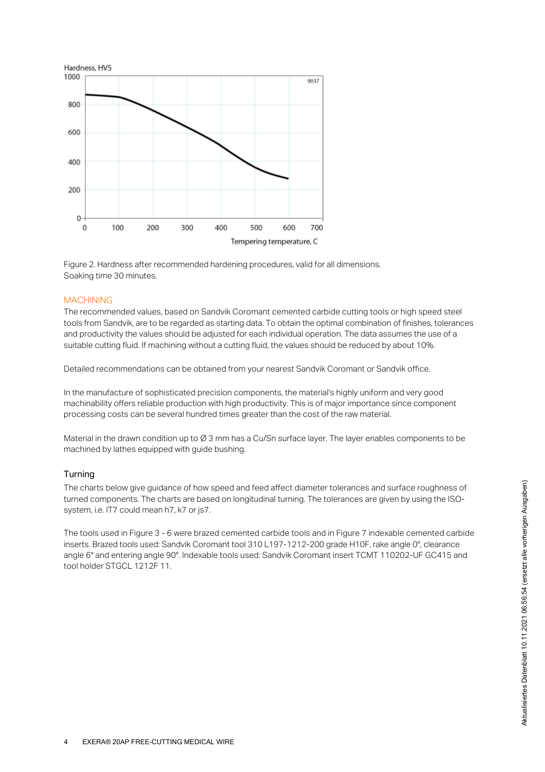

Figure 2. Hardness after recommended hardening procedures, valid for all dimensions. Soaking time 30 minutes.

#### MACHINING

The recommended values, based on Sandvik Coromant cemented carbide cutting tools or high speed steel tools from Sandvik, are to be regarded as starting data. To obtain the optimal combination of finishes, tolerances and productivity the values should be adjusted for each individual operation. The data assumes the use of a suitable cutting fluid. If machining without a cutting fluid, the values should be reduced by about 10%.

Detailed recommendations can be obtained from your nearest Sandvik Coromant or Sandvik office.

In the manufacture of sophisticated precision components, the material's highly uniform and very good machinability offers reliable production with high productivity. This is of major importance since component processing costs can be several hundred times greater than the cost of the raw material.

Material in the drawn condition up to Ø 3 mm has a Cu/Sn surface layer. The layer enables components to be machined by lathes equipped with guide bushing.

#### Turning

The charts below give guidance of how speed and feed affect diameter tolerances and surface roughness of turned components. The charts are based on longitudinal turning. The tolerances are given by using the ISOsystem, i.e. IT7 could mean h7, k7 or js7.

The tools used in Figure 3 - 6 were brazed cemented carbide tools and in Figure 7 indexable cemented carbide inserts. Brazed tools used: Sandvik Coromant tool 310 L197-1212-200 grade H10F, rake angle 0°, clearance angle 6° and entering angle 90°. Indexable tools used: Sandvik Coromant insert TCMT 110202-UF GC415 and tool holder STGCL 1212F 11.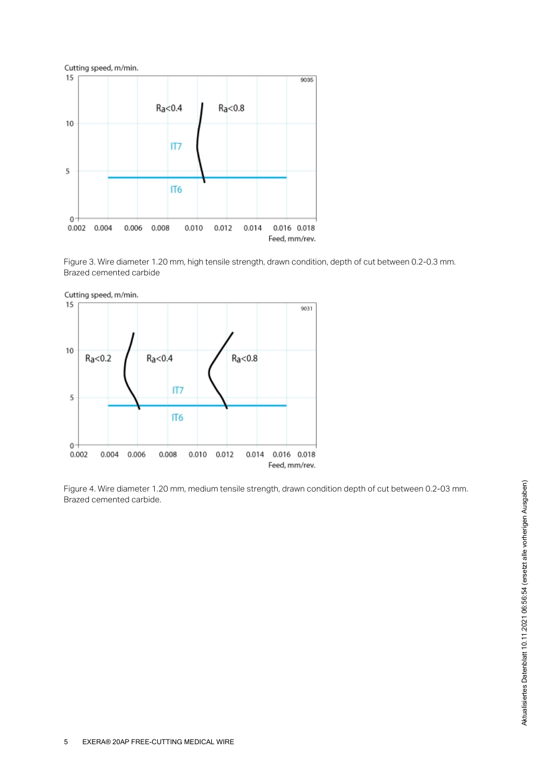

Figure 3. Wire diameter 1.20 mm, high tensile strength, drawn condition, depth of cut between 0.2-0.3 mm. Brazed cemented carbide



Figure 4. Wire diameter 1.20 mm, medium tensile strength, drawn condition depth of cut between 0.2-03 mm. Brazed cemented carbide.

Aktualisiertes Datenblatt 10.11.2021 06:56:54 (ersetzt alle vorherigen Ausgaben) Aktualisiertes Datenblatt 10.11.2021 06:56:54 (ersetzt alle vorherigen Ausgaben)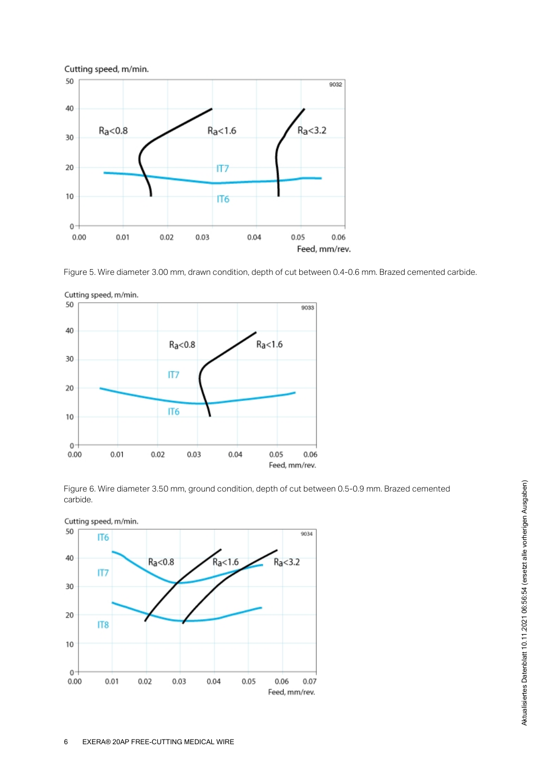

Figure 5. Wire diameter 3.00 mm, drawn condition, depth of cut between 0.4-0.6 mm. Brazed cemented carbide.



Cutting speed, m/min.

Figure 6. Wire diameter 3.50 mm, ground condition, depth of cut between 0.5-0.9 mm. Brazed cemented carbide.



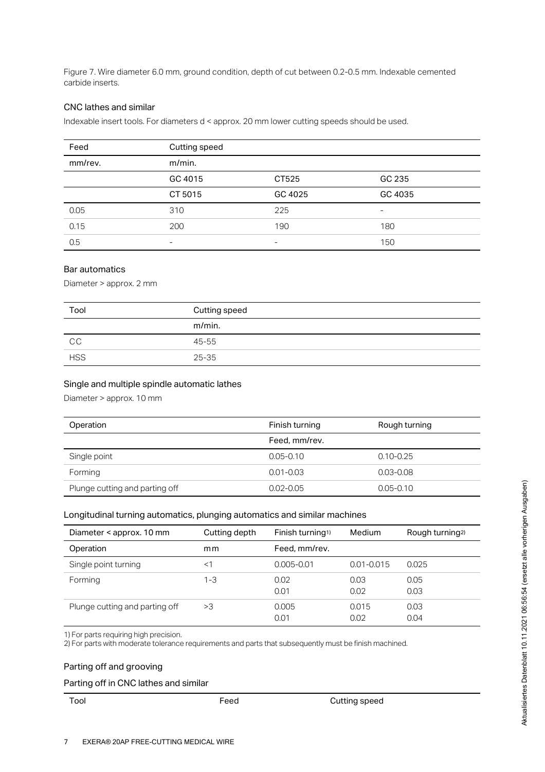Figure 7. Wire diameter 6.0 mm, ground condition, depth of cut between 0.2-0.5 mm. Indexable cemented carbide inserts.

#### CNC lathes and similar

Indexable insert tools. For diameters d < approx. 20 mm lower cutting speeds should be used.

| Feed    | Cutting speed |         |         |
|---------|---------------|---------|---------|
| mm/rev. | $m/min$ .     |         |         |
|         | GC 4015       | CT525   | GC 235  |
|         | CT 5015       | GC 4025 | GC 4035 |
| 0.05    | 310           | 225     | ۰       |
| 0.15    | 200           | 190     | 180     |
| 0.5     | $\equiv$      | ۰       | 150     |

#### Bar automatics

Diameter > approx. 2 mm

| Tool       | Cutting speed |
|------------|---------------|
|            | m/min.        |
| CC.        | 45-55         |
| <b>HSS</b> | $25 - 35$     |

#### Single and multiple spindle automatic lathes

Diameter > approx. 10 mm

| Operation                      | Finish turning | Rough turning |
|--------------------------------|----------------|---------------|
|                                | Feed, mm/rev.  |               |
| Single point                   | $0.05 - 0.10$  | $0.10 - 0.25$ |
| Forming                        | $0.01 - 0.03$  | $0.03 - 0.08$ |
| Plunge cutting and parting off | $0.02 - 0.05$  | $0.05 - 0.10$ |

#### Longitudinal turning automatics, plunging automatics and similar machines

| Longitudinal turning automatics, plunging automatics and similar machines                                                                                                    |               |                              |                |                             |
|------------------------------------------------------------------------------------------------------------------------------------------------------------------------------|---------------|------------------------------|----------------|-----------------------------|
| Diameter < approx. 10 mm                                                                                                                                                     | Cutting depth | Finish turning <sup>1)</sup> | Medium         | Rough turning <sup>2)</sup> |
| Operation                                                                                                                                                                    | mm            | Feed, mm/rev.                |                |                             |
| Single point turning                                                                                                                                                         | <1            | $0.005 - 0.01$               | $0.01 - 0.015$ | 0.025                       |
| Forming                                                                                                                                                                      | $1 - 3$       | 0.02                         | 0.03           | 0.05                        |
|                                                                                                                                                                              |               | 0.01                         | 0.02           | 0.03                        |
| Plunge cutting and parting off                                                                                                                                               | >3            | 0.005                        | 0.015          | 0.03                        |
|                                                                                                                                                                              |               | 0.01                         | 0.02           | 0.04                        |
| 1) For parts requiring high precision.<br>2) For parts with moderate tolerance requirements and parts that subsequently must be finish machined.<br>Parting off and grooving |               |                              |                |                             |
|                                                                                                                                                                              |               |                              |                |                             |
| Parting off in CNC lathes and similar                                                                                                                                        |               |                              |                |                             |

# Parting off and grooving

#### Parting off in CNC lathes and similar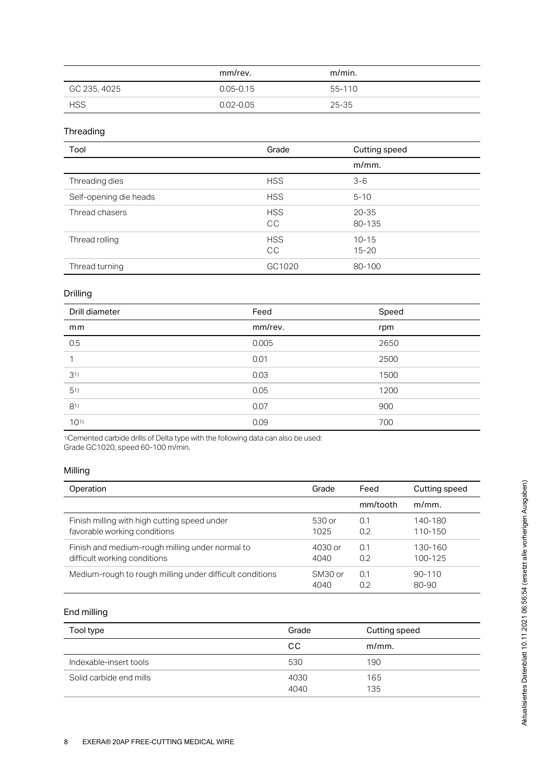|              | mm/rev.       | $m/min$ . |
|--------------|---------------|-----------|
| GC 235, 4025 | $0.05 - 0.15$ | 55-110    |
| <b>HSS</b>   | 0.02-0.05     | 25-35     |

# Threading

| Tool                   | Grade                   | Cutting speed          |
|------------------------|-------------------------|------------------------|
|                        |                         | $m/mm$ .               |
| Threading dies         | <b>HSS</b>              | $3 - 6$                |
| Self-opening die heads | <b>HSS</b>              | $5 - 10$               |
| Thread chasers         | <b>HSS</b><br><b>CC</b> | $20 - 35$<br>80-135    |
| Thread rolling         | <b>HSS</b><br>CC        | $10 - 15$<br>$15 - 20$ |
| Thread turning         | GC1020                  | 80-100                 |

# Drilling

| Drill diameter | Feed    | Speed |
|----------------|---------|-------|
| mm             | mm/rev. | rpm   |
| 0.5            | 0.005   | 2650  |
| $\mathbf 1$    | 0.01    | 2500  |
| 31)            | 0.03    | 1500  |
| 51)            | 0.05    | 1200  |
| 81)            | 0.07    | 900   |
| 1011           | 0.09    | 700   |

Cemented carbide drills of Delta type with the following data can also be used: Grade GC1020, speed 60-100 m/min. 1)

#### Milling

| Operation                                                | Grade               | Feed     | Cutting speed |
|----------------------------------------------------------|---------------------|----------|---------------|
|                                                          |                     | mm/tooth | $m/mm$ .      |
| Finish milling with high cutting speed under             | 530 or              | 0.1      | 140-180       |
| favorable working conditions                             | 1025                | 0.2      | 110-150       |
| Finish and medium-rough milling under normal to          | 4030 or             | 0.1      | 130-160       |
| difficult working conditions                             | 4040                | 0.2      | 100-125       |
| Medium-rough to rough milling under difficult conditions | SM <sub>30</sub> or | 0.1      | $90 - 110$    |
|                                                          | 4040                | 0.2      | 80-90         |

# End milling

| Tool type               | Grade        | Cutting speed |
|-------------------------|--------------|---------------|
|                         | CС           | $m/mm$ .      |
| Indexable-insert tools  | 530          | 190           |
| Solid carbide end mills | 4030<br>4040 | 165<br>135    |